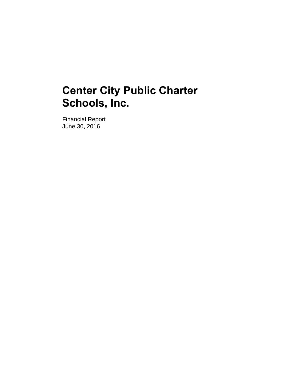Financial Report June 30, 2016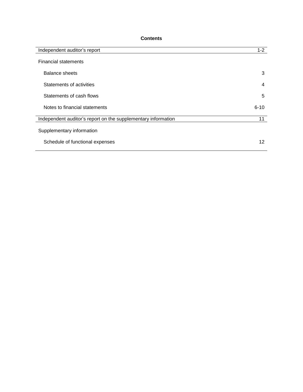# **Contents**

| Independent auditor's report                                  | $1 - 2$  |
|---------------------------------------------------------------|----------|
| <b>Financial statements</b>                                   |          |
| <b>Balance sheets</b>                                         | 3        |
| Statements of activities                                      | 4        |
| Statements of cash flows                                      | 5        |
| Notes to financial statements                                 | $6 - 10$ |
| Independent auditor's report on the supplementary information | 11       |
| Supplementary information                                     |          |
| Schedule of functional expenses                               | 12       |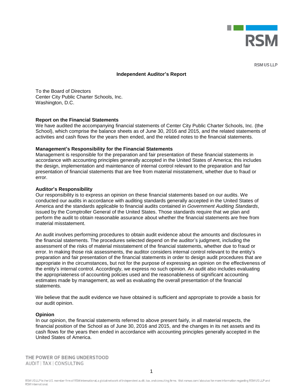

**RSM US LLP** 

#### **Independent Auditor's Report**

To the Board of Directors Center City Public Charter Schools, Inc. Washington, D.C.

#### **Report on the Financial Statements**

We have audited the accompanying financial statements of Center City Public Charter Schools, Inc. (the School), which comprise the balance sheets as of June 30, 2016 and 2015, and the related statements of activities and cash flows for the years then ended, and the related notes to the financial statements.

#### **Management's Responsibility for the Financial Statements**

Management is responsible for the preparation and fair presentation of these financial statements in accordance with accounting principles generally accepted in the United States of America; this includes the design, implementation and maintenance of internal control relevant to the preparation and fair presentation of financial statements that are free from material misstatement, whether due to fraud or error.

#### **Auditor's Responsibility**

Our responsibility is to express an opinion on these financial statements based on our audits. We conducted our audits in accordance with auditing standards generally accepted in the United States of America and the standards applicable to financial audits contained in *Government Auditing Standards*, issued by the Comptroller General of the United States. Those standards require that we plan and perform the audit to obtain reasonable assurance about whether the financial statements are free from material misstatement.

An audit involves performing procedures to obtain audit evidence about the amounts and disclosures in the financial statements. The procedures selected depend on the auditor's judgment, including the assessment of the risks of material misstatement of the financial statements, whether due to fraud or error. In making those risk assessments, the auditor considers internal control relevant to the entity's preparation and fair presentation of the financial statements in order to design audit procedures that are appropriate in the circumstances, but not for the purpose of expressing an opinion on the effectiveness of the entity's internal control. Accordingly, we express no such opinion. An audit also includes evaluating the appropriateness of accounting policies used and the reasonableness of significant accounting estimates made by management, as well as evaluating the overall presentation of the financial statements.

We believe that the audit evidence we have obtained is sufficient and appropriate to provide a basis for our audit opinion.

#### **Opinion**

In our opinion, the financial statements referred to above present fairly, in all material respects, the financial position of the School as of June 30, 2016 and 2015, and the changes in its net assets and its cash flows for the years then ended in accordance with accounting principles generally accepted in the United States of America.

THE POWER OF BEING UNDERSTOOD AUDIT | TAX | CONSULTING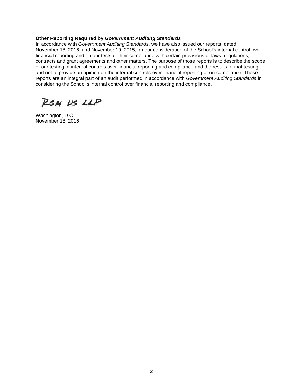### **Other Reporting Required by** *Government Auditing Standards*

In accordance with *Government Auditing Standards*, we have also issued our reports, dated November 18, 2016, and November 19, 2015, on our consideration of the School's internal control over financial reporting and on our tests of their compliance with certain provisions of laws, regulations, contracts and grant agreements and other matters. The purpose of those reports is to describe the scope of our testing of internal controls over financial reporting and compliance and the results of that testing and not to provide an opinion on the internal controls over financial reporting or on compliance. Those reports are an integral part of an audit performed in accordance with *Government Auditing Standards* in considering the School's internal control over financial reporting and compliance.

RSM US LLP

Washington, D.C. November 18, 2016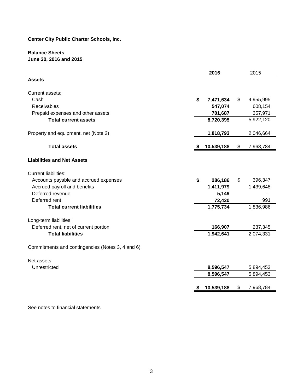# **Balance Sheets June 30, 2016 and 2015**

|                                                  | 2016             | 2015            |
|--------------------------------------------------|------------------|-----------------|
| <b>Assets</b>                                    |                  |                 |
| Current assets:                                  |                  |                 |
| Cash                                             | \$<br>7,471,634  | \$<br>4,955,995 |
| Receivables                                      | 547,074          | 608,154         |
| Prepaid expenses and other assets                | 701,687          | 357,971         |
| <b>Total current assets</b>                      | 8,720,395        | 5,922,120       |
| Property and equipment, net (Note 2)             | 1,818,793        | 2,046,664       |
| <b>Total assets</b>                              | \$<br>10,539,188 | \$<br>7,968,784 |
| <b>Liabilities and Net Assets</b>                |                  |                 |
| <b>Current liabilities:</b>                      |                  |                 |
| Accounts payable and accrued expenses            | \$<br>286,186    | \$<br>396,347   |
| Accrued payroll and benefits                     | 1,411,979        | 1,439,648       |
| Deferred revenue                                 | 5,149            |                 |
| Deferred rent                                    | 72,420           | 991             |
| <b>Total current liabilities</b>                 | 1,775,734        | 1,836,986       |
| Long-term liabilities:                           |                  |                 |
| Deferred rent, net of current portion            | 166,907          | 237,345         |
| <b>Total liabilities</b>                         | 1,942,641        | 2,074,331       |
| Commitments and contingencies (Notes 3, 4 and 6) |                  |                 |
| Net assets:                                      |                  |                 |
| Unrestricted                                     | 8,596,547        | 5,894,453       |
|                                                  | 8,596,547        | 5,894,453       |
|                                                  | 10,539,188       | \$<br>7,968,784 |
|                                                  |                  |                 |

See notes to financial statements.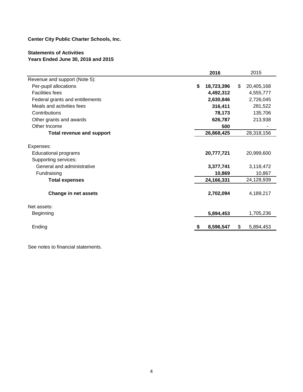# **Statements of Activities Years Ended June 30, 2016 and 2015**

|                                  | 2016             | 2015             |
|----------------------------------|------------------|------------------|
| Revenue and support (Note 5):    |                  |                  |
| Per-pupil allocations            | \$<br>18,723,396 | \$<br>20,405,168 |
| <b>Facilities fees</b>           | 4,492,312        | 4,555,777        |
| Federal grants and entitlements  | 2,630,846        | 2,726,045        |
| Meals and activities fees        | 316,411          | 281,522          |
| Contributions                    | 78,173           | 135,706          |
| Other grants and awards          | 626,787          | 213,938          |
| Other Income                     | 500              |                  |
| <b>Total revenue and support</b> | 26,868,425       | 28,318,156       |
| Expenses:                        |                  |                  |
| <b>Educational programs</b>      | 20,777,721       | 20,999,600       |
| Supporting services:             |                  |                  |
| General and administrative       | 3,377,741        | 3,118,472        |
| Fundraising                      | 10,869           | 10,867           |
| <b>Total expenses</b>            | 24,166,331       | 24,128,939       |
| Change in net assets             | 2,702,094        | 4,189,217        |
| Net assets:                      |                  |                  |
| Beginning                        | 5,894,453        | 1,705,236        |
| Ending                           | 8,596,547        | \$<br>5,894,453  |

See notes to financial statements.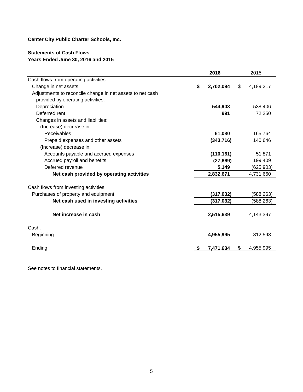# **Statements of Cash Flows Years Ended June 30, 2016 and 2015**

|                                                           | 2016            | 2015            |
|-----------------------------------------------------------|-----------------|-----------------|
| Cash flows from operating activities:                     |                 |                 |
| Change in net assets                                      | \$<br>2,702,094 | \$<br>4,189,217 |
| Adjustments to reconcile change in net assets to net cash |                 |                 |
| provided by operating activities:                         |                 |                 |
| Depreciation                                              | 544,903         | 538,406         |
| Deferred rent                                             | 991             | 72,250          |
| Changes in assets and liabilities:                        |                 |                 |
| (Increase) decrease in:                                   |                 |                 |
| Receivables                                               | 61,080          | 165,764         |
| Prepaid expenses and other assets                         | (343,716)       | 140,646         |
| (Increase) decrease in:                                   |                 |                 |
| Accounts payable and accrued expenses                     | (110, 161)      | 51,871          |
| Accrued payroll and benefits                              | (27, 669)       | 199,409         |
| Deferred revenue                                          | 5,149           | (625, 903)      |
| Net cash provided by operating activities                 | 2,832,671       | 4,731,660       |
| Cash flows from investing activities:                     |                 |                 |
| Purchases of property and equipment                       | (317, 032)      | (588, 263)      |
| Net cash used in investing activities                     | (317, 032)      | (588, 263)      |
| Net increase in cash                                      | 2,515,639       | 4,143,397       |
| Cash:                                                     |                 |                 |
| Beginning                                                 | 4,955,995       | 812,598         |
| Ending                                                    | 7,471,634       | \$<br>4,955,995 |

See notes to financial statements.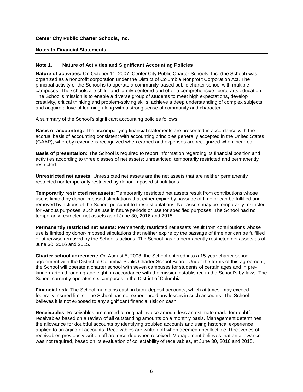#### **Notes to Financial Statements**

## **Note 1. Nature of Activities and Significant Accounting Policies**

**Nature of activities:** On October 11, 2007, Center City Public Charter Schools, Inc. (the School) was organized as a nonprofit corporation under the District of Columbia Nonprofit Corporation Act. The principal activity of the School is to operate a community-based public charter school with multiple campuses. The schools are child- and family-centered and offer a comprehensive liberal arts education. The School's mission is to enable a diverse group of students to meet high expectations, develop creativity, critical thinking and problem-solving skills, achieve a deep understanding of complex subjects and acquire a love of learning along with a strong sense of community and character.

A summary of the School's significant accounting policies follows:

**Basis of accounting:** The accompanying financial statements are presented in accordance with the accrual basis of accounting consistent with accounting principles generally accepted in the United States (GAAP), whereby revenue is recognized when earned and expenses are recognized when incurred.

**Basis of presentation:** The School is required to report information regarding its financial position and activities according to three classes of net assets: unrestricted, temporarily restricted and permanently restricted.

**Unrestricted net assets:** Unrestricted net assets are the net assets that are neither permanently restricted nor temporarily restricted by donor-imposed stipulations.

**Temporarily restricted net assets:** Temporarily restricted net assets result from contributions whose use is limited by donor-imposed stipulations that either expire by passage of time or can be fulfilled and removed by actions of the School pursuant to these stipulations. Net assets may be temporarily restricted for various purposes, such as use in future periods or use for specified purposes. The School had no temporarily restricted net assets as of June 30, 2016 and 2015.

**Permanently restricted net assets:** Permanently restricted net assets result from contributions whose use is limited by donor-imposed stipulations that neither expire by the passage of time nor can be fulfilled or otherwise removed by the School's actions. The School has no permanently restricted net assets as of June 30, 2016 and 2015.

**Charter school agreement:** On August 5, 2008, the School entered into a 15-year charter school agreement with the District of Columbia Public Charter School Board. Under the terms of this agreement, the School will operate a charter school with seven campuses for students of certain ages and in prekindergarten through grade eight, in accordance with the mission established in the School's by-laws. The School currently operates six campuses in the District of Columbia.

**Financial risk:** The School maintains cash in bank deposit accounts, which at times, may exceed federally insured limits. The School has not experienced any losses in such accounts. The School believes it is not exposed to any significant financial risk on cash.

**Receivables:** Receivables are carried at original invoice amount less an estimate made for doubtful receivables based on a review of all outstanding amounts on a monthly basis. Management determines the allowance for doubtful accounts by identifying troubled accounts and using historical experience applied to an aging of accounts. Receivables are written off when deemed uncollectible. Recoveries of receivables previously written off are recorded when received. Management believes that an allowance was not required, based on its evaluation of collectability of receivables, at June 30, 2016 and 2015.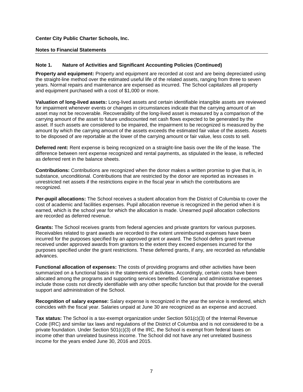#### **Notes to Financial Statements**

## **Note 1. Nature of Activities and Significant Accounting Policies (Continued)**

**Property and equipment:** Property and equipment are recorded at cost and are being depreciated using the straight-line method over the estimated useful life of the related assets, ranging from three to seven years. Normal repairs and maintenance are expensed as incurred. The School capitalizes all property and equipment purchased with a cost of \$1,000 or more.

**Valuation of long-lived assets:** Long-lived assets and certain identifiable intangible assets are reviewed for impairment whenever events or changes in circumstances indicate that the carrying amount of an asset may not be recoverable. Recoverability of the long-lived asset is measured by a comparison of the carrying amount of the asset to future undiscounted net cash flows expected to be generated by the asset. If such assets are considered to be impaired, the impairment to be recognized is measured by the amount by which the carrying amount of the assets exceeds the estimated fair value of the assets. Assets to be disposed of are reportable at the lower of the carrying amount or fair value, less costs to sell.

**Deferred rent:** Rent expense is being recognized on a straight-line basis over the life of the lease. The difference between rent expense recognized and rental payments, as stipulated in the lease, is reflected as deferred rent in the balance sheets.

**Contributions:** Contributions are recognized when the donor makes a written promise to give that is, in substance, unconditional. Contributions that are restricted by the donor are reported as increases in unrestricted net assets if the restrictions expire in the fiscal year in which the contributions are recognized.

**Per-pupil allocations:** The School receives a student allocation from the District of Columbia to cover the cost of academic and facilities expenses. Pupil allocation revenue is recognized in the period when it is earned, which is the school year for which the allocation is made. Unearned pupil allocation collections are recorded as deferred revenue.

**Grants:** The School receives grants from federal agencies and private grantors for various purposes. Receivables related to grant awards are recorded to the extent unreimbursed expenses have been incurred for the purposes specified by an approved grant or award. The School defers grant revenue received under approved awards from grantors to the extent they exceed expenses incurred for the purposes specified under the grant restrictions. These deferred grants, if any, are recorded as refundable advances.

**Functional allocation of expenses:** The costs of providing programs and other activities have been summarized on a functional basis in the statements of activities. Accordingly, certain costs have been allocated among the programs and supporting services benefited. General and administrative expenses include those costs not directly identifiable with any other specific function but that provide for the overall support and administration of the School.

**Recognition of salary expense:** Salary expense is recognized in the year the service is rendered, which coincides with the fiscal year. Salaries unpaid at June 30 are recognized as an expense and accrued.

**Tax status:** The School is a tax-exempt organization under Section 501(c)(3) of the Internal Revenue Code (IRC) and similar tax laws and regulations of the District of Columbia and is not considered to be a private foundation. Under Section 501(c)(3) of the IRC, the School is exempt from federal taxes on income other than unrelated business income. The School did not have any net unrelated business income for the years ended June 30, 2016 and 2015.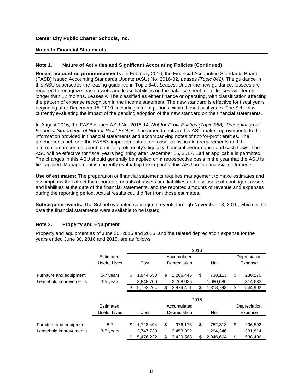#### **Notes to Financial Statements**

## **Note 1. Nature of Activities and Significant Accounting Policies (Continued)**

**Recent accounting pronouncements:** In February 2016, the Financial Accounting Standards Board (FASB) issued Accounting Standards Update (ASU) No. 2016-02, *Leases (Topic 842)*. The guidance in this ASU supersedes the leasing guidance in Topic 840, *Leases*. Under the new guidance, lessees are required to recognize lease assets and lease liabilities on the balance sheet for all leases with terms longer than 12 months. Leases will be classified as either finance or operating, with classification affecting the pattern of expense recognition in the income statement. The new standard is effective for fiscal years beginning after December 15, 2019, including interim periods within those fiscal years. The School is currently evaluating the impact of the pending adoption of the new standard on the financial statements.

In August 2016, the FASB issued ASU No. 2016-14, *Not-for-Profit Entities (Topic 958): Presentation of Financial Statements of Not-for-Profit Entities*. The amendments in this ASU make improvements to the information provided in financial statements and accompanying notes of not-for-profit entities. The amendments set forth the FASB's improvements to net asset classification requirements and the information presented about a not-for-profit entity's liquidity, financial performance and cash flows. The ASU will be effective for fiscal years beginning after December 15, 2017. Earlier applicable is permitted. The changes in this ASU should generally be applied on a retrospective basis in the year that the ASU is first applied. Management is currently evaluating the impact of this ASU on the financial statements.

**Use of estimates:** The preparation of financial statements requires management to make estimates and assumptions that affect the reported amounts of assets and liabilities and disclosure of contingent assets and liabilities at the date of the financial statements, and the reported amounts of revenue and expenses during the reporting period. Actual results could differ from those estimates.

**Subsequent events:** The School evaluated subsequent events through November 18, 2016, which is the date the financial statements were available to be issued.

## **Note 2. Property and Equipment**

Property and equipment as of June 30, 2016 and 2015, and the related depreciation expense for the years ended June 30, 2016 and 2015, are as follows:

|                         |              |     | 2016      |    |              |      |            |    |              |  |
|-------------------------|--------------|-----|-----------|----|--------------|------|------------|----|--------------|--|
|                         | Estimated    |     |           |    | Accumulated  |      |            |    | Depreciation |  |
|                         | Useful Lives |     | Cost      |    | Depreciation |      | <b>Net</b> |    | Expense      |  |
|                         |              |     |           |    |              |      |            |    |              |  |
| Furniture and equipment | 5-7 years    | \$  | 1,944,558 | \$ | 1,206,445    | \$   | 738,113    | \$ | 230,270      |  |
| Leasehold improvements  | 3-5 years    |     | 3,848,706 |    | 2,768,026    |      | 1,080,680  |    | 314,633      |  |
|                         |              | \$. | 5,793,264 | \$ | 3,974,471    | \$   | 1,818,793  | \$ | 544,903      |  |
|                         |              |     |           |    |              | 2015 |            |    |              |  |
|                         | Estimated    |     |           |    | Accumulated  |      |            |    | Depreciation |  |
|                         | Useful Lives |     | Cost      |    | Depreciation |      | <b>Net</b> |    | Expense      |  |
|                         |              |     |           |    |              |      |            |    |              |  |
| Furniture and equipment | $5 - 7$      | \$  | 1,728,494 | \$ | 976,176      | \$   | 752,318    | \$ | 206,592      |  |
| Leasehold improvements  | 3-5 years    |     | 3,747,738 |    | 2,453,392    |      | 1,294,346  |    | 331,814      |  |
|                         |              | \$  | 5,476,232 | \$ | 3,429,568    | \$   | 2,046,664  | \$ | 538,406      |  |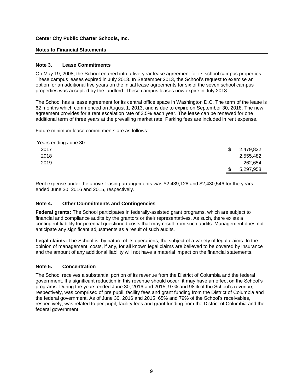### **Notes to Financial Statements**

### **Note 3. Lease Commitments**

On May 19, 2008, the School entered into a five-year lease agreement for its school campus properties. These campus leases expired in July 2013. In September 2013, the School's request to exercise an option for an additional five years on the initial lease agreements for six of the seven school campus properties was accepted by the landlord. These campus leases now expire in July 2018.

The School has a lease agreement for its central office space in Washington D.C. The term of the lease is 62 months which commenced on August 1, 2013, and is due to expire on September 30, 2018. The new agreement provides for a rent escalation rate of 3.5% each year. The lease can be renewed for one additional term of three years at the prevailing market rate. Parking fees are included in rent expense.

Future minimum lease commitments are as follows:

| Years ending June 30: |                 |
|-----------------------|-----------------|
| 2017                  | \$<br>2,479,822 |
| 2018                  | 2,555,482       |
| 2019                  | 262,654         |
|                       | 5,297,958       |

Rent expense under the above leasing arrangements was \$2,439,128 and \$2,430,546 for the years ended June 30, 2016 and 2015, respectively.

#### **Note 4. Other Commitments and Contingencies**

**Federal grants:** The School participates in federally-assisted grant programs, which are subject to financial and compliance audits by the grantors or their representatives. As such, there exists a contingent liability for potential questioned costs that may result from such audits. Management does not anticipate any significant adjustments as a result of such audits.

**Legal claims:** The School is, by nature of its operations, the subject of a variety of legal claims. In the opinion of management, costs, if any, for all known legal claims are believed to be covered by insurance and the amount of any additional liability will not have a material impact on the financial statements.

#### **Note 5. Concentration**

The School receives a substantial portion of its revenue from the District of Columbia and the federal government. If a significant reduction in this revenue should occur, it may have an effect on the School's programs. During the years ended June 30, 2016 and 2015, 97% and 98% of the School's revenue, respectively, was comprised of pre pupil, facility fees and grant funding from the District of Columbia and the federal government. As of June 30, 2016 and 2015, 65% and 79% of the School's receivables, respectively, was related to per-pupil, facility fees and grant funding from the District of Columbia and the federal government.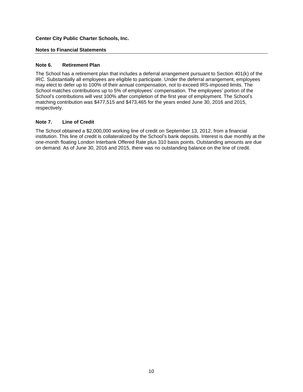### **Notes to Financial Statements**

## **Note 6. Retirement Plan**

The School has a retirement plan that includes a deferral arrangement pursuant to Section 401(k) of the IRC. Substantially all employees are eligible to participate. Under the deferral arrangement, employees may elect to defer up to 100% of their annual compensation, not to exceed IRS-imposed limits. The School matches contributions up to 5% of employees' compensation. The employees' portion of the School's contributions will vest 100% after completion of the first year of employment. The School's matching contribution was \$477,515 and \$473,465 for the years ended June 30, 2016 and 2015, respectively.

## **Note 7. Line of Credit**

The School obtained a \$2,000,000 working line of credit on September 13, 2012, from a financial institution. This line of credit is collateralized by the School's bank deposits. Interest is due monthly at the one-month floating London Interbank Offered Rate plus 310 basis points. Outstanding amounts are due on demand. As of June 30, 2016 and 2015, there was no outstanding balance on the line of credit.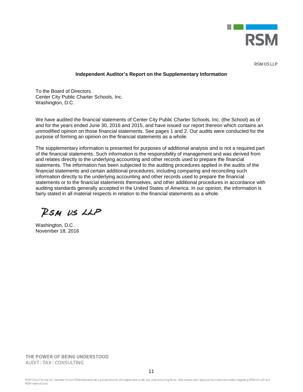

**RSM US LLP** 

#### **Independent Auditor's Report on the Supplementary Information**

To the Board of Directors Center City Public Charter Schools, Inc. Washington, D.C.

We have audited the financial statements of Center City Public Charter Schools, Inc. (the School) as of and for the years ended June 30, 2016 and 2015, and have issued our report thereon which contains an unmodified opinion on those financial statements. See pages 1 and 2. Our audits were conducted for the purpose of forming an opinion on the financial statements as a whole.

The supplementary information is presented for purposes of additional analysis and is not a required part of the financial statements. Such information is the responsibility of management and was derived from and relates directly to the underlying accounting and other records used to prepare the financial statements. The information has been subjected to the auditing procedures applied in the audits of the financial statements and certain additional procedures, including comparing and reconciling such information directly to the underlying accounting and other records used to prepare the financial statements or to the financial statements themselves, and other additional procedures in accordance with auditing standards generally accepted in the United States of America. In our opinion, the information is fairly stated in all material respects in relation to the financial statements as a whole.

RSM US LLP

Washington, D.C. November 18, 2016

THE POWER OF BEING UNDERSTOOD AUDIT | TAX | CONSULTING